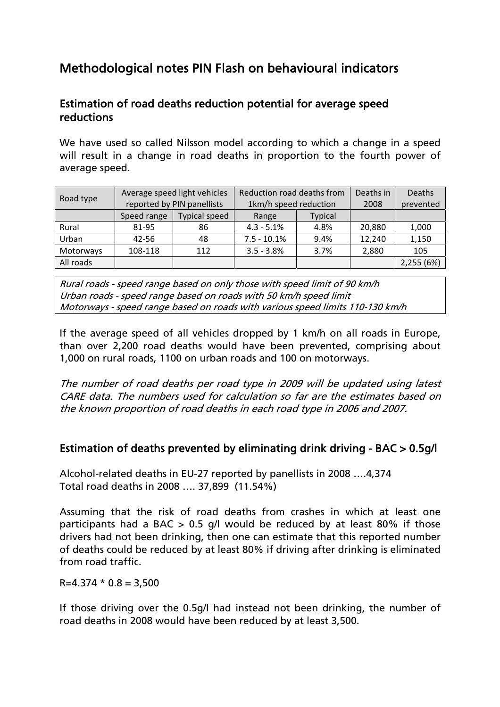# Methodological notes PIN Flash on behavioural indicators

## Estimation of road deaths reduction potential for average speed reductions

We have used so called Nilsson model according to which a change in a speed will result in a change in road deaths in proportion to the fourth power of average speed.

| Road type |             | Average speed light vehicles | Reduction road deaths from |                | Deaths in | Deaths     |
|-----------|-------------|------------------------------|----------------------------|----------------|-----------|------------|
|           |             | reported by PIN panellists   | 1km/h speed reduction      |                | 2008      | prevented  |
|           | Speed range | <b>Typical speed</b>         | Range                      | <b>Typical</b> |           |            |
| Rural     | 81-95       | 86                           | $4.3 - 5.1%$               | 4.8%           | 20,880    | 1,000      |
| Urban     | $42 - 56$   | 48                           | $7.5 - 10.1%$              | 9.4%           | 12,240    | 1,150      |
| Motorways | 108-118     | 112                          | $3.5 - 3.8%$               | 3.7%           | 2,880     | 105        |
| All roads |             |                              |                            |                |           | 2,255 (6%) |

Rural roads - speed range based on only those with speed limit of 90 km/h Urban roads - speed range based on roads with 50 km/h speed limit Motorways - speed range based on roads with various speed limits 110-130 km/h

If the average speed of all vehicles dropped by 1 km/h on all roads in Europe, than over 2,200 road deaths would have been prevented, comprising about 1,000 on rural roads, 1100 on urban roads and 100 on motorways.

The number of road deaths per road type in 2009 will be updated using latest CARE data. The numbers used for calculation so far are the estimates based on the known proportion of road deaths in each road type in 2006 and 2007.

### Estimation of deaths prevented by eliminating drink driving - BAC > 0.5g/l

Alcohol-related deaths in EU-27 reported by panellists in 2008 ….4,374 Total road deaths in 2008 …. 37,899 (11.54%)

Assuming that the risk of road deaths from crashes in which at least one participants had a BAC  $> 0.5$  g/l would be reduced by at least 80% if those drivers had not been drinking, then one can estimate that this reported number of deaths could be reduced by at least 80% if driving after drinking is eliminated from road traffic.

 $R=4.374 * 0.8 = 3,500$ 

If those driving over the 0.5g/l had instead not been drinking, the number of road deaths in 2008 would have been reduced by at least 3,500.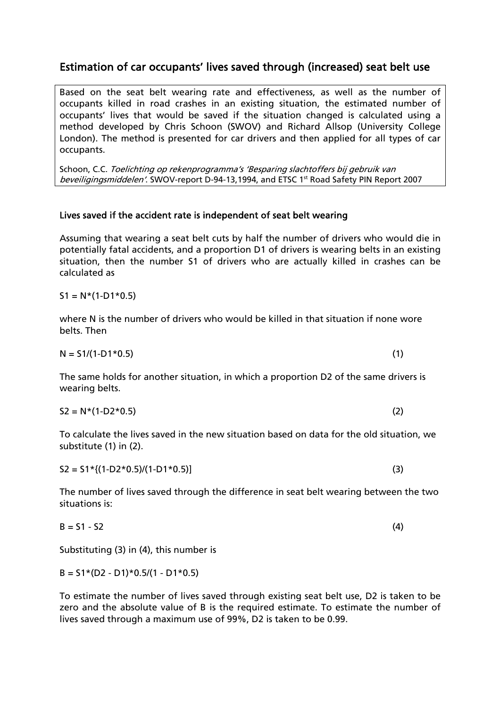### Estimation of car occupants' lives saved through (increased) seat belt use

Based on the seat belt wearing rate and effectiveness, as well as the number of occupants killed in road crashes in an existing situation, the estimated number of occupants' lives that would be saved if the situation changed is calculated using a method developed by Chris Schoon (SWOV) and Richard Allsop (University College London). The method is presented for car drivers and then applied for all types of car occupants.

Schoon, C.C. Toelichting op rekenprogramma's 'Besparing slachtoffers bij gebruik van beveiligingsmiddelen'. SWOV-report D-94-13,1994, and ETSC 1st Road Safety PIN Report 2007

#### Lives saved if the accident rate is independent of seat belt wearing

Assuming that wearing a seat belt cuts by half the number of drivers who would die in potentially fatal accidents, and a proportion D1 of drivers is wearing belts in an existing situation, then the number S1 of drivers who are actually killed in crashes can be calculated as

 $S1 = N*(1-D1*0.5)$ 

where N is the number of drivers who would be killed in that situation if none wore belts. Then

 $N = 51/(1-D1*0.5)$  (1)

The same holds for another situation, in which a proportion D2 of the same drivers is wearing belts.

 $S2 = N^*(1-D2*0.5)$  (2)

To calculate the lives saved in the new situation based on data for the old situation, we substitute (1) in (2).

 $S2 = S1 * {(1-D2 * 0.5) / (1-D1 * 0.5)}$  (3)

The number of lives saved through the difference in seat belt wearing between the two situations is:

$$
B = S1 - S2 \tag{4}
$$

Substituting (3) in (4), this number is

 $B = S1*(D2 - D1)*0.5/(1 - D1*0.5)$ 

To estimate the number of lives saved through existing seat belt use, D2 is taken to be zero and the absolute value of B is the required estimate. To estimate the number of lives saved through a maximum use of 99%, D2 is taken to be 0.99.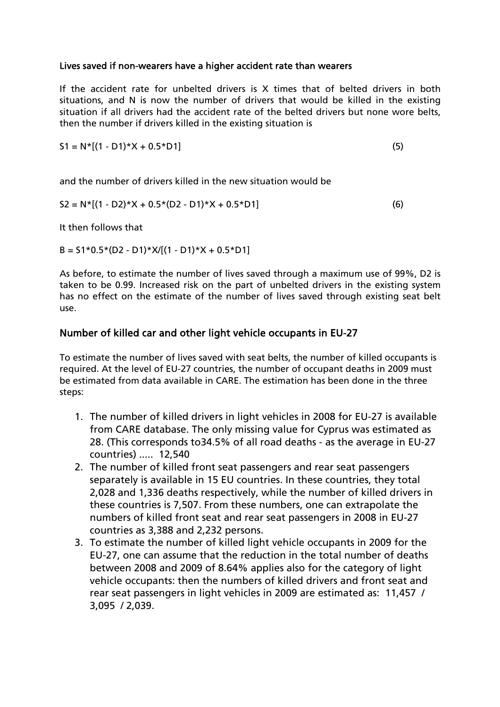#### Lives saved if non-wearers have a higher accident rate than wearers

If the accident rate for unbelted drivers is X times that of belted drivers in both situations, and N is now the number of drivers that would be killed in the existing situation if all drivers had the accident rate of the belted drivers but none wore belts, then the number if drivers killed in the existing situation is

$$
S1 = N^*[(1 - D1)^*X + 0.5^*D1]
$$
 (5)

and the number of drivers killed in the new situation would be

$$
S2 = N^*[(1 - D2)^*X + 0.5^*(D2 - D1)^*X + 0.5^*D1]
$$
 (6)

It then follows that

 $B = S1*0.5*(D2 - D1)*X/[(1 - D1)*X + 0.5*D1]$ 

As before, to estimate the number of lives saved through a maximum use of 99%, D2 is taken to be 0.99. Increased risk on the part of unbelted drivers in the existing system has no effect on the estimate of the number of lives saved through existing seat belt use.

### Number of killed car and other light vehicle occupants in EU-27

To estimate the number of lives saved with seat belts, the number of killed occupants is required. At the level of EU-27 countries, the number of occupant deaths in 2009 must be estimated from data available in CARE. The estimation has been done in the three steps:

- 1. The number of killed drivers in light vehicles in 2008 for EU-27 is available from CARE database. The only missing value for Cyprus was estimated as 28. (This corresponds to34.5% of all road deaths - as the average in EU-27 countries) ..... 12,540
- 2. The number of killed front seat passengers and rear seat passengers separately is available in 15 EU countries. In these countries, they total 2,028 and 1,336 deaths respectively, while the number of killed drivers in these countries is 7,507. From these numbers, one can extrapolate the numbers of killed front seat and rear seat passengers in 2008 in EU-27 countries as 3,388 and 2,232 persons.
- 3. To estimate the number of killed light vehicle occupants in 2009 for the EU-27, one can assume that the reduction in the total number of deaths between 2008 and 2009 of 8.64% applies also for the category of light vehicle occupants: then the numbers of killed drivers and front seat and rear seat passengers in light vehicles in 2009 are estimated as: 11,457 / 3,095 / 2,039.